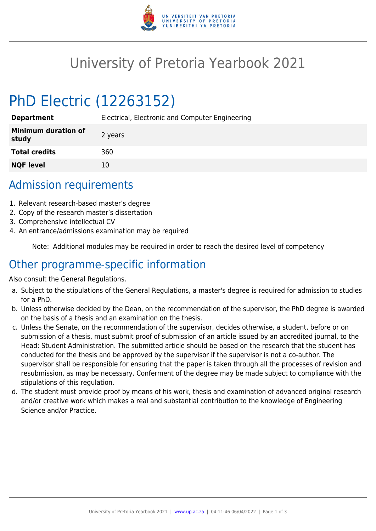

## University of Pretoria Yearbook 2021

# PhD Electric (12263152)

| <b>Department</b>                   | Electrical, Electronic and Computer Engineering |
|-------------------------------------|-------------------------------------------------|
| <b>Minimum duration of</b><br>study | 2 years                                         |
| <b>Total credits</b>                | 360                                             |
| <b>NQF level</b>                    | 10                                              |

## Admission requirements

- 1. Relevant research-based master's degree
- 2. Copy of the research master's dissertation
- 3. Comprehensive intellectual CV
- 4. An entrance/admissions examination may be required

Note: Additional modules may be required in order to reach the desired level of competency

#### Other programme-specific information

Also consult the General Regulations.

- a. Subject to the stipulations of the General Regulations, a master's degree is required for admission to studies for a PhD.
- b. Unless otherwise decided by the Dean, on the recommendation of the supervisor, the PhD degree is awarded on the basis of a thesis and an examination on the thesis.
- c. Unless the Senate, on the recommendation of the supervisor, decides otherwise, a student, before or on submission of a thesis, must submit proof of submission of an article issued by an accredited journal, to the Head: Student Administration. The submitted article should be based on the research that the student has conducted for the thesis and be approved by the supervisor if the supervisor is not a co-author. The supervisor shall be responsible for ensuring that the paper is taken through all the processes of revision and resubmission, as may be necessary. Conferment of the degree may be made subject to compliance with the stipulations of this regulation.
- d. The student must provide proof by means of his work, thesis and examination of advanced original research and/or creative work which makes a real and substantial contribution to the knowledge of Engineering Science and/or Practice.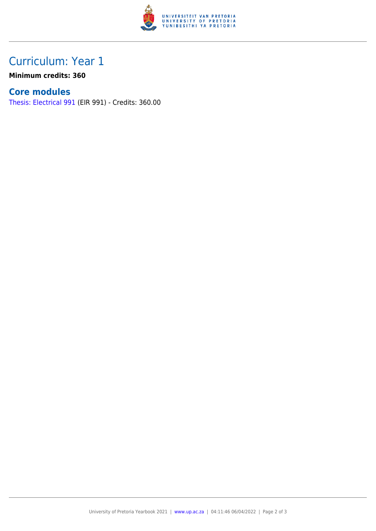

## Curriculum: Year 1

**Minimum credits: 360**

#### **Core modules**

[Thesis: Electrical 991](https://www.up.ac.za/faculty-of-education/yearbooks/2021/modules/view/EIR 991) (EIR 991) - Credits: 360.00